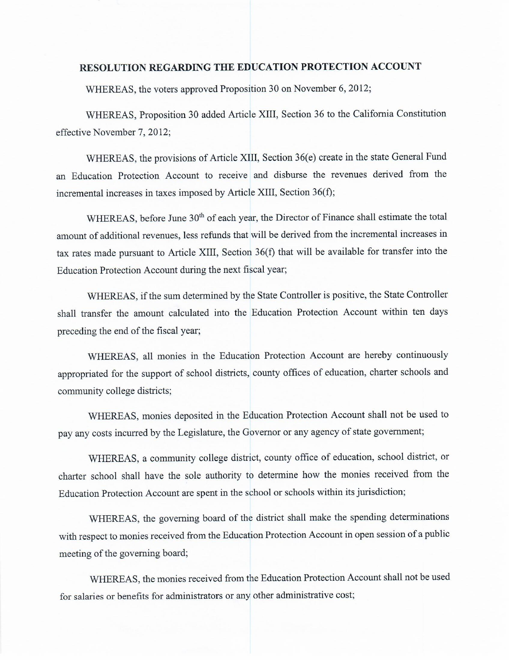## **RESOLUTION REGARDING THE EDUCATION PROTECTION ACCOUNT**

WHEREAS, the voters approved Proposition 30 on November 6, 2012;

WHEREAS, Proposition 30 added Article XIII, Section 36 to the California Constitution effective November 7, 2012;

WHEREAS, the provisions of Article XIII, Section 36(e) create in the state General Fund an Education Protection Account to receive and disburse the revenues derived from the incremental increases in taxes imposed by Article XIII, Section 36(f);

WHEREAS, before June 30<sup>th</sup> of each year, the Director of Finance shall estimate the total amount of additional revenues, less refunds that will be derived from the incremental increases in tax rates made pursuant to Article XIII, Section 36(f) that will be available for transfer into the Education Protection Account during the next fiscal year;

WHEREAS, if the sum determined by the State Controller is positive, the State Controller shall transfer the amount calculated into the Education Protection Account within ten days preceding the end of the fiscal year;

WHEREAS, all monies in the Education Protection Account are hereby continuously appropriated for the support of school districts, county offices of education, charter schools and community college districts;

WHEREAS, monies deposited in the Education Protection Account shall not be used to pay any costs incurred by the Legislature, the Governor or any agency of state government;

WHEREAS, a community college district, county office of education, school district, or charter school shall have the sole authority to determine how the monies received from the Education Protection Account are spent in the school or schools within its jurisdiction;

WHEREAS, the governing board of the district shall make the spending determinations with respect to monies received from the Education Protection Account in open session of a public meeting of the governing board;

WHEREAS, the monies received from the Education Protection Account shall not be used for salaries or benefits for administrators or any other administrative cost;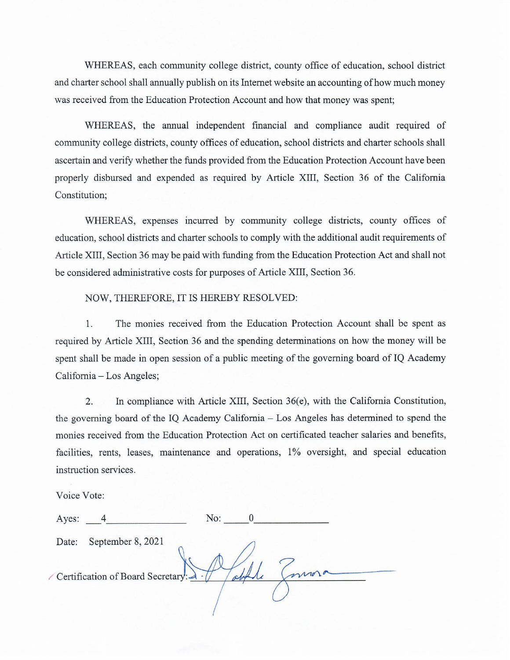WHEREAS, each community college district, county office of education, school district and charter school shall annually publish on its Internet website an accounting of how much money was received from the Education Protection Account and how that money was spent;

WHEREAS, the annual independent financial and compliance audit required of community college districts, county offices of education, school districts and charter schools shall ascertain and verify whether the funds provided from the Education Protection Account have been properly disbursed and expended as required by Article XIII, Section 36 of the California Constitution:

WHEREAS, expenses incurred by community college districts, county offices of education, school districts and charter schools to comply with the additional audit requirements of Article XIII, Section 36 may be paid with funding from the Education Protection Act and shall not be considered administrative costs for purposes of Article XIII, Section 36.

NOW, THEREFORE, IT IS HEREBY RESOLVED:

 $\overline{1}$ . The monies received from the Education Protection Account shall be spent as required by Article XIII, Section 36 and the spending determinations on how the money will be spent shall be made in open session of a public meeting of the governing board of IQ Academy California - Los Angeles;

 $\overline{2}$ In compliance with Article XIII, Section  $36(e)$ , with the California Constitution, the governing board of the IQ Academy California – Los Angeles has determined to spend the monies received from the Education Protection Act on certificated teacher salaries and benefits, facilities, rents, leases, maintenance and operations, 1% oversight, and special education instruction services.

Voice Vote:

ý

| Ayes: |                                   | No: |  |
|-------|-----------------------------------|-----|--|
| Date: | September 8, 2021                 |     |  |
|       | Certification of Board Secretary: |     |  |
|       |                                   |     |  |